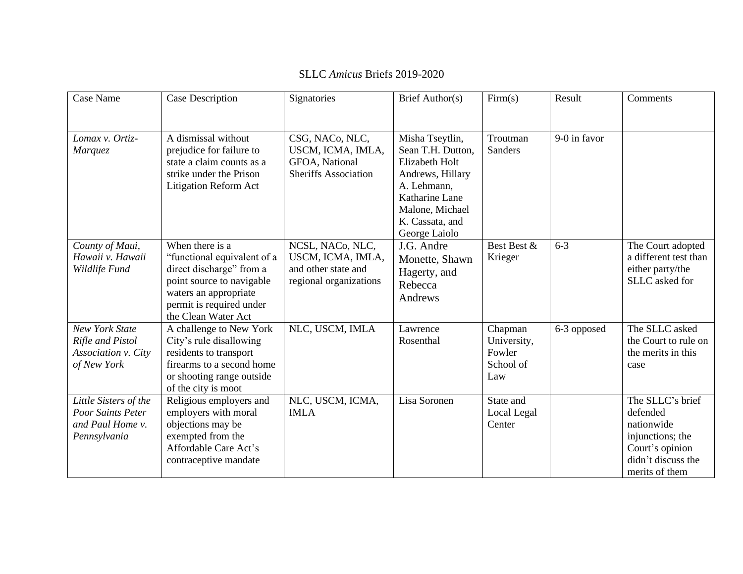| Case Name                                                                       | Case Description                                                                                                                                                                    | Signatories                                                                            | Brief Author(s)                                                                                                                                                    | Firm(s)                                              | Result       | Comments                                                                                                                  |
|---------------------------------------------------------------------------------|-------------------------------------------------------------------------------------------------------------------------------------------------------------------------------------|----------------------------------------------------------------------------------------|--------------------------------------------------------------------------------------------------------------------------------------------------------------------|------------------------------------------------------|--------------|---------------------------------------------------------------------------------------------------------------------------|
| Lomax v. Ortiz-<br>Marquez                                                      | A dismissal without<br>prejudice for failure to<br>state a claim counts as a<br>strike under the Prison<br>Litigation Reform Act                                                    | CSG, NACo, NLC,<br>USCM, ICMA, IMLA,<br>GFOA, National<br><b>Sheriffs Association</b>  | Misha Tseytlin,<br>Sean T.H. Dutton,<br>Elizabeth Holt<br>Andrews, Hillary<br>A. Lehmann,<br>Katharine Lane<br>Malone, Michael<br>K. Cassata, and<br>George Laiolo | Troutman<br>Sanders                                  | 9-0 in favor |                                                                                                                           |
| County of Maui,<br>Hawaii v. Hawaii<br>Wildlife Fund                            | When there is a<br>"functional equivalent of a<br>direct discharge" from a<br>point source to navigable<br>waters an appropriate<br>permit is required under<br>the Clean Water Act | NCSL, NACo, NLC,<br>USCM, ICMA, IMLA,<br>and other state and<br>regional organizations | J.G. Andre<br>Monette, Shawn<br>Hagerty, and<br>Rebecca<br>Andrews                                                                                                 | Best Best &<br>Krieger                               | $6 - 3$      | The Court adopted<br>a different test than<br>either party/the<br>SLLC asked for                                          |
| <b>New York State</b><br>Rifle and Pistol<br>Association v. City<br>of New York | A challenge to New York<br>City's rule disallowing<br>residents to transport<br>firearms to a second home<br>or shooting range outside<br>of the city is moot                       | NLC, USCM, IMLA                                                                        | Lawrence<br>Rosenthal                                                                                                                                              | Chapman<br>University,<br>Fowler<br>School of<br>Law | 6-3 opposed  | The SLLC asked<br>the Court to rule on<br>the merits in this<br>case                                                      |
| Little Sisters of the<br>Poor Saints Peter<br>and Paul Home v.<br>Pennsylvania  | Religious employers and<br>employers with moral<br>objections may be<br>exempted from the<br>Affordable Care Act's<br>contraceptive mandate                                         | NLC, USCM, ICMA,<br><b>IMLA</b>                                                        | Lisa Soronen                                                                                                                                                       | State and<br>Local Legal<br>Center                   |              | The SLLC's brief<br>defended<br>nationwide<br>injunctions; the<br>Court's opinion<br>didn't discuss the<br>merits of them |

## SLLC *Amicus* Briefs 2019-2020